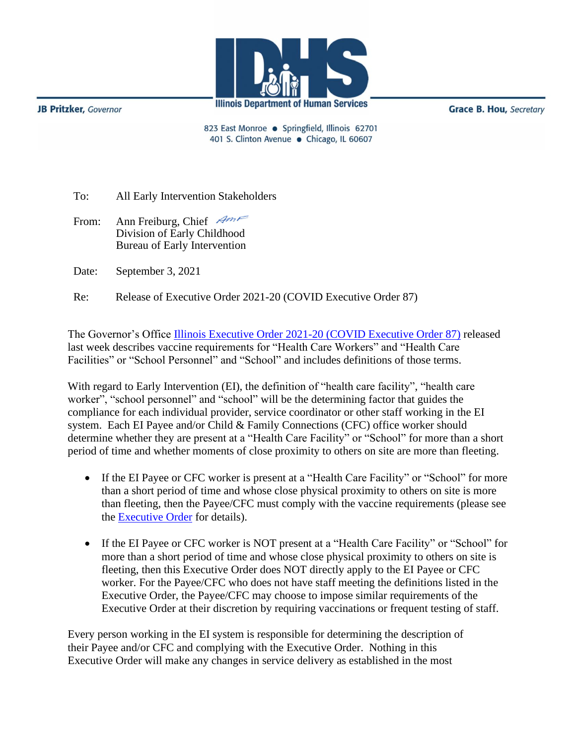**JB Pritzker**, Governor



**Grace B. Hou, Secretary** 

823 East Monroe · Springfield, Illinois 62701 401 S. Clinton Avenue · Chicago, IL 60607

To: All Early Intervention Stakeholders

From: Ann Freiburg, Chief Am Division of Early Childhood Bureau of Early Intervention

Date: September 3, 2021

Re: Release of Executive Order 2021-20 (COVID Executive Order 87)

The Governor's Office [Illinois Executive Order 2021-20 \(COVID Executive Order 87\)](https://coronavirus.illinois.gov/resources/executive-orders/display.executive-order-number-20.2021.html) released last week describes vaccine requirements for "Health Care Workers" and "Health Care Facilities" or "School Personnel" and "School" and includes definitions of those terms.

With regard to Early Intervention (EI), the definition of "health care facility", "health care worker", "school personnel" and "school" will be the determining factor that guides the compliance for each individual provider, service coordinator or other staff working in the EI system. Each EI Payee and/or Child & Family Connections (CFC) office worker should determine whether they are present at a "Health Care Facility" or "School" for more than a short period of time and whether moments of close proximity to others on site are more than fleeting.

- If the EI Payee or CFC worker is present at a "Health Care Facility" or "School" for more than a short period of time and whose close physical proximity to others on site is more than fleeting, then the Payee/CFC must comply with the vaccine requirements (please see the **Executive Order** for details).
- If the EI Payee or CFC worker is NOT present at a "Health Care Facility" or "School" for more than a short period of time and whose close physical proximity to others on site is fleeting, then this Executive Order does NOT directly apply to the EI Payee or CFC worker. For the Payee/CFC who does not have staff meeting the definitions listed in the Executive Order, the Payee/CFC may choose to impose similar requirements of the Executive Order at their discretion by requiring vaccinations or frequent testing of staff.

Every person working in the EI system is responsible for determining the description of their Payee and/or CFC and complying with the Executive Order. Nothing in this Executive Order will make any changes in service delivery as established in the most